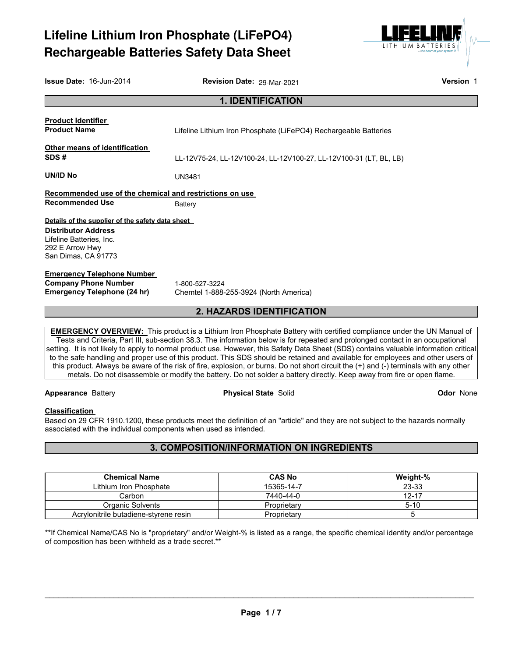# **Lifeline Lithium Iron Phosphate (LiFePO4) Rechargeable Batteries Safety Data Sheet**



| <b>Issue Date: 16-Jun-2014</b>                                            | Revision Date: 29-Mar-2021                                                                                                                                                                                                                                     | Version 1 |
|---------------------------------------------------------------------------|----------------------------------------------------------------------------------------------------------------------------------------------------------------------------------------------------------------------------------------------------------------|-----------|
|                                                                           | <b>1. IDENTIFICATION</b>                                                                                                                                                                                                                                       |           |
| <b>Product Identifier</b>                                                 |                                                                                                                                                                                                                                                                |           |
| <b>Product Name</b>                                                       | Lifeline Lithium Iron Phosphate (LiFePO4) Rechargeable Batteries                                                                                                                                                                                               |           |
| Other means of identification                                             |                                                                                                                                                                                                                                                                |           |
| SDS#                                                                      | LL-12V75-24, LL-12V100-24, LL-12V100-27, LL-12V100-31 (LT, BL, LB)                                                                                                                                                                                             |           |
| UN/ID No                                                                  | <b>UN3481</b>                                                                                                                                                                                                                                                  |           |
| Recommended use of the chemical and restrictions on use                   |                                                                                                                                                                                                                                                                |           |
| <b>Recommended Use</b>                                                    | <b>Battery</b>                                                                                                                                                                                                                                                 |           |
| Details of the supplier of the safety data sheet                          |                                                                                                                                                                                                                                                                |           |
| <b>Distributor Address</b><br>Lifeline Batteries, Inc.<br>292 E Arrow Hwy |                                                                                                                                                                                                                                                                |           |
| San Dimas, CA 91773                                                       |                                                                                                                                                                                                                                                                |           |
| <b>Emergency Telephone Number</b>                                         |                                                                                                                                                                                                                                                                |           |
| <b>Company Phone Number</b>                                               | 1-800-527-3224                                                                                                                                                                                                                                                 |           |
| <b>Emergency Telephone (24 hr)</b>                                        | Chemtel 1-888-255-3924 (North America)                                                                                                                                                                                                                         |           |
|                                                                           | <b>2. HAZARDS IDENTIFICATION</b>                                                                                                                                                                                                                               |           |
|                                                                           | <b>EMERGENCY OVERVIEW:</b> This product is a Lithium Iron Phosphate Battery with certified compliance under the UN Manual of<br>Toote and Criteria, Dart III, out agation 20.2. The information below is for reported and prolonged contact in an ecounctional |           |

Tests and Criteria, Part III, sub-section 38.3. The information below is for repeated and prolonged contact in an occupational setting. It is not likely to apply to normal product use. However, this Safety Data Sheet (SDS) contains valuable information critical to the safe handling and proper use of this product. This SDS should be retained and available for employees and other users of this product. Always be aware of the risk of fire, explosion, or burns. Do not short circuit the (+) and (-) terminals with any other metals. Do not disassemble or modify the battery. Do not solder a battery directly. Keep away from fire or open flame.

#### **Appearance** Battery **Physical State** Solid **Odor** None

# **Classification**

Based on 29 CFR 1910.1200, these products meet the definition of an "article" and they are not subject to the hazards normally associated with the individual components when used as intended.

# **3. COMPOSITION/INFORMATION ON INGREDIENTS**

| <b>Chemical Name</b>                  | <b>CAS No</b> | Weight-%  |
|---------------------------------------|---------------|-----------|
| Lithium Iron Phosphate                | 15365-14-7    | 23-33     |
| Carbon                                | 7440-44-0     | $12 - 17$ |
| Organic Solvents                      | Proprietary   | $5 - 10$  |
| Acrylonitrile butadiene-styrene resin | Proprietary   |           |

\*\*If Chemical Name/CAS No is "proprietary" and/or Weight-% is listed as a range, the specific chemical identity and/or percentage of composition has been withheld as a trade secret.\*\*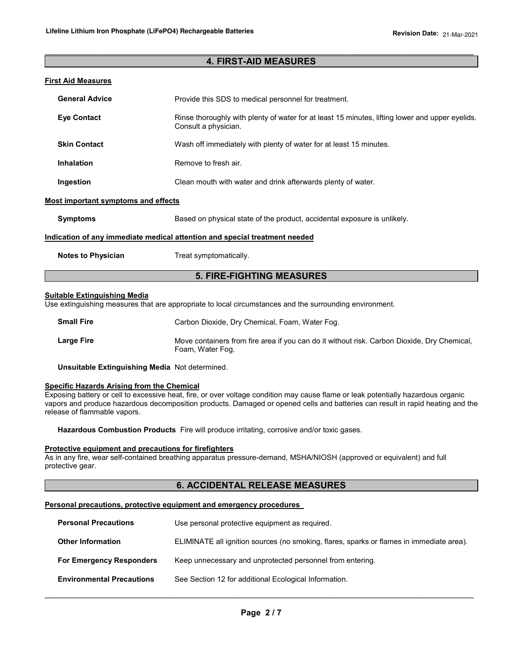# $\_$  ,  $\_$  ,  $\_$  ,  $\_$  ,  $\_$  ,  $\_$  ,  $\_$  ,  $\_$  ,  $\_$  ,  $\_$  ,  $\_$  ,  $\_$  ,  $\_$  ,  $\_$  ,  $\_$  ,  $\_$  ,  $\_$  ,  $\_$  ,  $\_$  ,  $\_$  ,  $\_$  ,  $\_$  ,  $\_$  ,  $\_$  ,  $\_$  ,  $\_$  ,  $\_$  ,  $\_$  ,  $\_$  ,  $\_$  ,  $\_$  ,  $\_$  ,  $\_$  ,  $\_$  ,  $\_$  ,  $\_$  ,  $\_$  , **4. FIRST-AID MEASURES**

#### **First Aid Measures**

| <b>General Advice</b>                      | Provide this SDS to medical personnel for treatment.                                                                    |  |
|--------------------------------------------|-------------------------------------------------------------------------------------------------------------------------|--|
| <b>Eye Contact</b>                         | Rinse thoroughly with plenty of water for at least 15 minutes, lifting lower and upper eyelids.<br>Consult a physician. |  |
| <b>Skin Contact</b>                        | Wash off immediately with plenty of water for at least 15 minutes.                                                      |  |
| <b>Inhalation</b>                          | Remove to fresh air.                                                                                                    |  |
| Ingestion                                  | Clean mouth with water and drink afterwards plenty of water.                                                            |  |
| <b>Most important symptoms and effects</b> |                                                                                                                         |  |
| <b>Symptoms</b>                            | Based on physical state of the product, accidental exposure is unlikely.                                                |  |
|                                            | <u>Indication of any immediate medical attention and special treatment needed</u>                                       |  |
| <b>Notes to Physician</b>                  | Treat symptomatically.                                                                                                  |  |
|                                            |                                                                                                                         |  |

# **5. FIRE-FIGHTING MEASURES**

#### **Suitable Extinguishing Media**

Use extinguishing measures that are appropriate to local circumstances and the surrounding environment.

| <b>Small Fire</b> | Carbon Dioxide, Dry Chemical, Foam, Water Fog.                                                                  |
|-------------------|-----------------------------------------------------------------------------------------------------------------|
| <b>Large Fire</b> | Move containers from fire area if you can do it without risk. Carbon Dioxide, Dry Chemical,<br>Foam, Water Fog. |

**Unsuitable Extinguishing Media** Not determined.

# **Specific Hazards Arising from the Chemical**

Exposing battery or cell to excessive heat, fire, or over voltage condition may cause flame or leak potentially hazardous organic vapors and produce hazardous decomposition products. Damaged or opened cells and batteries can result in rapid heating and the release of flammable vapors.

**Hazardous Combustion Products** Fire will produce irritating, corrosive and/or toxic gases.

#### **Protective equipment and precautions for firefighters**

As in any fire, wear self-contained breathing apparatus pressure-demand, MSHA/NIOSH (approved or equivalent) and full protective gear.

# **6. ACCIDENTAL RELEASE MEASURES**

#### **Personal precautions, protective equipment and emergency procedures**

| <b>Personal Precautions</b>      | Use personal protective equipment as required.                                           |
|----------------------------------|------------------------------------------------------------------------------------------|
| <b>Other Information</b>         | ELIMINATE all ignition sources (no smoking, flares, sparks or flames in immediate area). |
| <b>For Emergency Responders</b>  | Keep unnecessary and unprotected personnel from entering.                                |
| <b>Environmental Precautions</b> | See Section 12 for additional Ecological Information.                                    |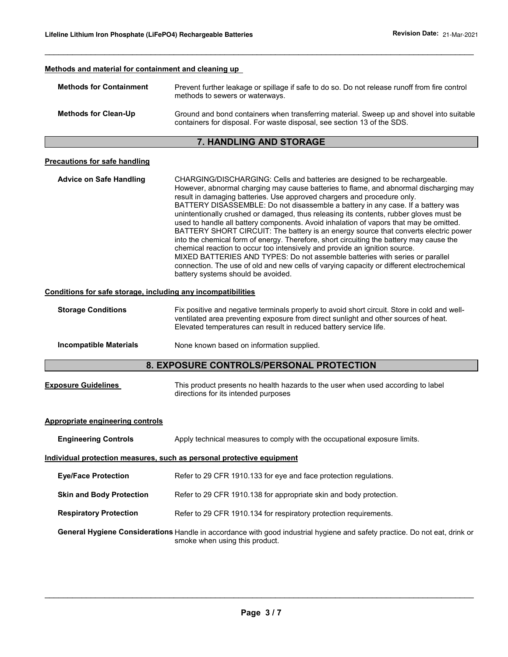| Methods and material for containment and cleaning up         |                                                                                                                                                                                                                                                                                                                                                                                                                                                                                                                                                                                                                                                                                                                                                                                                                                                                                                                                                                                                          |
|--------------------------------------------------------------|----------------------------------------------------------------------------------------------------------------------------------------------------------------------------------------------------------------------------------------------------------------------------------------------------------------------------------------------------------------------------------------------------------------------------------------------------------------------------------------------------------------------------------------------------------------------------------------------------------------------------------------------------------------------------------------------------------------------------------------------------------------------------------------------------------------------------------------------------------------------------------------------------------------------------------------------------------------------------------------------------------|
| <b>Methods for Containment</b>                               | Prevent further leakage or spillage if safe to do so. Do not release runoff from fire control<br>methods to sewers or waterways.                                                                                                                                                                                                                                                                                                                                                                                                                                                                                                                                                                                                                                                                                                                                                                                                                                                                         |
| <b>Methods for Clean-Up</b>                                  | Ground and bond containers when transferring material. Sweep up and shovel into suitable<br>containers for disposal. For waste disposal, see section 13 of the SDS.                                                                                                                                                                                                                                                                                                                                                                                                                                                                                                                                                                                                                                                                                                                                                                                                                                      |
|                                                              | 7. HANDLING AND STORAGE                                                                                                                                                                                                                                                                                                                                                                                                                                                                                                                                                                                                                                                                                                                                                                                                                                                                                                                                                                                  |
| <b>Precautions for safe handling</b>                         |                                                                                                                                                                                                                                                                                                                                                                                                                                                                                                                                                                                                                                                                                                                                                                                                                                                                                                                                                                                                          |
| <b>Advice on Safe Handling</b>                               | CHARGING/DISCHARGING: Cells and batteries are designed to be rechargeable.<br>However, abnormal charging may cause batteries to flame, and abnormal discharging may<br>result in damaging batteries. Use approved chargers and procedure only.<br>BATTERY DISASSEMBLE: Do not disassemble a battery in any case. If a battery was<br>unintentionally crushed or damaged, thus releasing its contents, rubber gloves must be<br>used to handle all battery components. Avoid inhalation of vapors that may be omitted.<br>BATTERY SHORT CIRCUIT: The battery is an energy source that converts electric power<br>into the chemical form of energy. Therefore, short circuiting the battery may cause the<br>chemical reaction to occur too intensively and provide an ignition source.<br>MIXED BATTERIES AND TYPES: Do not assemble batteries with series or parallel<br>connection. The use of old and new cells of varying capacity or different electrochemical<br>battery systems should be avoided. |
| Conditions for safe storage, including any incompatibilities |                                                                                                                                                                                                                                                                                                                                                                                                                                                                                                                                                                                                                                                                                                                                                                                                                                                                                                                                                                                                          |
| <b>Storage Conditions</b>                                    | Fix positive and negative terminals properly to avoid short circuit. Store in cold and well-<br>ventilated area preventing exposure from direct sunlight and other sources of heat.<br>Elevated temperatures can result in reduced battery service life.                                                                                                                                                                                                                                                                                                                                                                                                                                                                                                                                                                                                                                                                                                                                                 |
| <b>Incompatible Materials</b>                                | None known based on information supplied.                                                                                                                                                                                                                                                                                                                                                                                                                                                                                                                                                                                                                                                                                                                                                                                                                                                                                                                                                                |
|                                                              | 8. EXPOSURE CONTROLS/PERSONAL PROTECTION                                                                                                                                                                                                                                                                                                                                                                                                                                                                                                                                                                                                                                                                                                                                                                                                                                                                                                                                                                 |
| <b>Exposure Guidelines</b>                                   | This product presents no health hazards to the user when used according to label<br>directions for its intended purposes                                                                                                                                                                                                                                                                                                                                                                                                                                                                                                                                                                                                                                                                                                                                                                                                                                                                                 |
| <b>Appropriate engineering controls</b>                      |                                                                                                                                                                                                                                                                                                                                                                                                                                                                                                                                                                                                                                                                                                                                                                                                                                                                                                                                                                                                          |
| <b>Engineering Controls</b>                                  | Apply technical measures to comply with the occupational exposure limits.                                                                                                                                                                                                                                                                                                                                                                                                                                                                                                                                                                                                                                                                                                                                                                                                                                                                                                                                |
|                                                              | Individual protection measures, such as personal protective equipment                                                                                                                                                                                                                                                                                                                                                                                                                                                                                                                                                                                                                                                                                                                                                                                                                                                                                                                                    |
| <b>Eye/Face Protection</b>                                   | Refer to 29 CFR 1910.133 for eye and face protection regulations.                                                                                                                                                                                                                                                                                                                                                                                                                                                                                                                                                                                                                                                                                                                                                                                                                                                                                                                                        |
| <b>Skin and Body Protection</b>                              | Refer to 29 CFR 1910.138 for appropriate skin and body protection.                                                                                                                                                                                                                                                                                                                                                                                                                                                                                                                                                                                                                                                                                                                                                                                                                                                                                                                                       |
| <b>Respiratory Protection</b>                                | Refer to 29 CFR 1910.134 for respiratory protection requirements.                                                                                                                                                                                                                                                                                                                                                                                                                                                                                                                                                                                                                                                                                                                                                                                                                                                                                                                                        |
|                                                              | General Hygiene Considerations Handle in accordance with good industrial hygiene and safety practice. Do not eat, drink or<br>smoke when using this product.                                                                                                                                                                                                                                                                                                                                                                                                                                                                                                                                                                                                                                                                                                                                                                                                                                             |

 $\_$  ,  $\_$  ,  $\_$  ,  $\_$  ,  $\_$  ,  $\_$  ,  $\_$  ,  $\_$  ,  $\_$  ,  $\_$  ,  $\_$  ,  $\_$  ,  $\_$  ,  $\_$  ,  $\_$  ,  $\_$  ,  $\_$  ,  $\_$  ,  $\_$  ,  $\_$  ,  $\_$  ,  $\_$  ,  $\_$  ,  $\_$  ,  $\_$  ,  $\_$  ,  $\_$  ,  $\_$  ,  $\_$  ,  $\_$  ,  $\_$  ,  $\_$  ,  $\_$  ,  $\_$  ,  $\_$  ,  $\_$  ,  $\_$  ,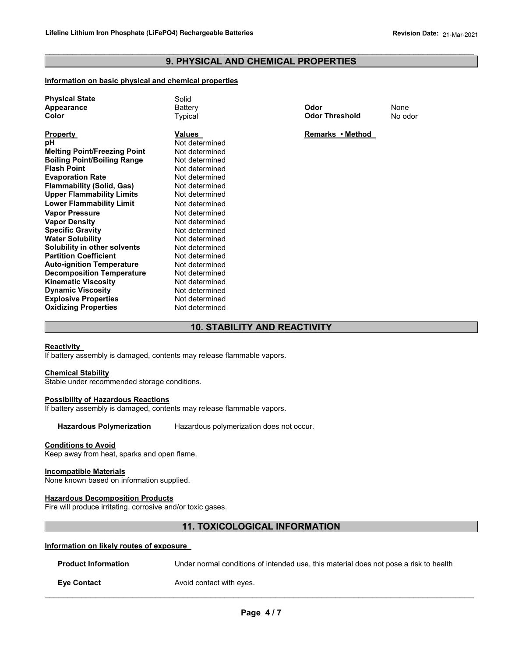# $\_$  ,  $\_$  ,  $\_$  ,  $\_$  ,  $\_$  ,  $\_$  ,  $\_$  ,  $\_$  ,  $\_$  ,  $\_$  ,  $\_$  ,  $\_$  ,  $\_$  ,  $\_$  ,  $\_$  ,  $\_$  ,  $\_$  ,  $\_$  ,  $\_$  ,  $\_$  ,  $\_$  ,  $\_$  ,  $\_$  ,  $\_$  ,  $\_$  ,  $\_$  ,  $\_$  ,  $\_$  ,  $\_$  ,  $\_$  ,  $\_$  ,  $\_$  ,  $\_$  ,  $\_$  ,  $\_$  ,  $\_$  ,  $\_$  , **9. PHYSICAL AND CHEMICAL PROPERTIES**

#### **Information on basic physical and chemical properties**

| <b>Physical State</b><br>Appearance<br>Color | Solid<br>Battery<br>Typical     | Odor<br><b>Odor Threshold</b> | None<br>No odor |
|----------------------------------------------|---------------------------------|-------------------------------|-----------------|
| <b>Property</b><br>рH                        | <b>Values</b><br>Not determined | Remarks • Method              |                 |
| <b>Melting Point/Freezing Point</b>          | Not determined                  |                               |                 |
| <b>Boiling Point/Boiling Range</b>           | Not determined                  |                               |                 |
| <b>Flash Point</b>                           | Not determined                  |                               |                 |
| <b>Evaporation Rate</b>                      | Not determined                  |                               |                 |
| <b>Flammability (Solid, Gas)</b>             | Not determined                  |                               |                 |
| <b>Upper Flammability Limits</b>             | Not determined                  |                               |                 |
| <b>Lower Flammability Limit</b>              | Not determined                  |                               |                 |
| <b>Vapor Pressure</b>                        | Not determined                  |                               |                 |
| <b>Vapor Density</b>                         | Not determined                  |                               |                 |
| <b>Specific Gravity</b>                      | Not determined                  |                               |                 |
| <b>Water Solubility</b>                      | Not determined                  |                               |                 |
| Solubility in other solvents                 | Not determined                  |                               |                 |
| <b>Partition Coefficient</b>                 | Not determined                  |                               |                 |
| <b>Auto-ignition Temperature</b>             | Not determined                  |                               |                 |
| <b>Decomposition Temperature</b>             | Not determined                  |                               |                 |
| <b>Kinematic Viscosity</b>                   | Not determined                  |                               |                 |
| <b>Dynamic Viscosity</b>                     | Not determined                  |                               |                 |
| <b>Explosive Properties</b>                  | Not determined                  |                               |                 |
| <b>Oxidizing Properties</b>                  | Not determined                  |                               |                 |

# **10. STABILITY AND REACTIVITY**

## **Reactivity**

If battery assembly is damaged, contents may release flammable vapors.

## **Chemical Stability**

Stable under recommended storage conditions.

#### **Possibility of Hazardous Reactions**

If battery assembly is damaged, contents may release flammable vapors.

**Hazardous Polymerization** Hazardous polymerization does not occur.

# **Conditions to Avoid**

Keep away from heat, sparks and open flame.

#### **Incompatible Materials**

None known based on information supplied.

#### **Hazardous Decomposition Products**

Fire will produce irritating, corrosive and/or toxic gases.

# **11. TOXICOLOGICAL INFORMATION**

## **Information on likely routes of exposure**

| <b>Product Information</b> | Under normal conditions of intended use, this material does not pose a risk to health |
|----------------------------|---------------------------------------------------------------------------------------|
| <b>Eve Contact</b>         | Avoid contact with eyes.                                                              |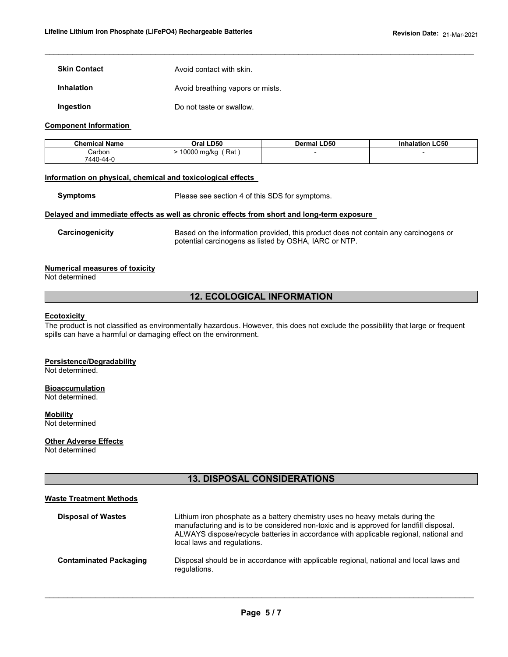**Skin Contact Avoid contact with skin.** 

**Inhalation Avoid breathing vapors or mists.** 

**Ingestion Do not taste or swallow.** 

#### **Component Information**

| <b>Chemical Name</b> | Oral LD50           | <b>Dermal LD50</b> | <b>Inhalation LC50</b> |
|----------------------|---------------------|--------------------|------------------------|
| Carbon               | 10000 mg/kg<br>Rat, |                    |                        |
| 7440-44-0            |                     |                    |                        |

 $\_$  ,  $\_$  ,  $\_$  ,  $\_$  ,  $\_$  ,  $\_$  ,  $\_$  ,  $\_$  ,  $\_$  ,  $\_$  ,  $\_$  ,  $\_$  ,  $\_$  ,  $\_$  ,  $\_$  ,  $\_$  ,  $\_$  ,  $\_$  ,  $\_$  ,  $\_$  ,  $\_$  ,  $\_$  ,  $\_$  ,  $\_$  ,  $\_$  ,  $\_$  ,  $\_$  ,  $\_$  ,  $\_$  ,  $\_$  ,  $\_$  ,  $\_$  ,  $\_$  ,  $\_$  ,  $\_$  ,  $\_$  ,  $\_$  ,

## **Information on physical, chemical and toxicological effects**

**Symptoms** Please see section 4 of this SDS for symptoms.

#### **Delayed and immediate effects as well as chronic effects from short and long-term exposure**

**Carcinogenicity** Based on the information provided, this product does not contain any carcinogens or potential carcinogens as listed by OSHA, IARC or NTP.

## **Numerical measures of toxicity**

Not determined

# **12. ECOLOGICAL INFORMATION**

# **Ecotoxicity**

The product is not classified as environmentally hazardous. However, this does not exclude the possibility that large or frequent spills can have a harmful or damaging effect on the environment.

#### **Persistence/Degradability**

Not determined.

#### **Bioaccumulation**

Not determined.

**Mobility** Not determined

#### **Other Adverse Effects**

Not determined

# **13. DISPOSAL CONSIDERATIONS**

#### **Waste Treatment Methods**

| <b>Disposal of Wastes</b>     | Lithium iron phosphate as a battery chemistry uses no heavy metals during the<br>manufacturing and is to be considered non-toxic and is approved for landfill disposal.<br>ALWAYS dispose/recycle batteries in accordance with applicable regional, national and<br>local laws and regulations. |
|-------------------------------|-------------------------------------------------------------------------------------------------------------------------------------------------------------------------------------------------------------------------------------------------------------------------------------------------|
| <b>Contaminated Packaging</b> | Disposal should be in accordance with applicable regional, national and local laws and<br>regulations.                                                                                                                                                                                          |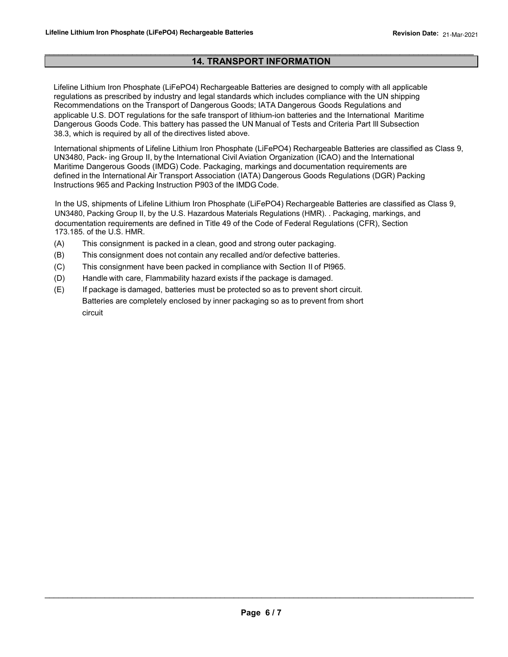# $\_$  ,  $\_$  ,  $\_$  ,  $\_$  ,  $\_$  ,  $\_$  ,  $\_$  ,  $\_$  ,  $\_$  ,  $\_$  ,  $\_$  ,  $\_$  ,  $\_$  ,  $\_$  ,  $\_$  ,  $\_$  ,  $\_$  ,  $\_$  ,  $\_$  ,  $\_$  ,  $\_$  ,  $\_$  ,  $\_$  ,  $\_$  ,  $\_$  ,  $\_$  ,  $\_$  ,  $\_$  ,  $\_$  ,  $\_$  ,  $\_$  ,  $\_$  ,  $\_$  ,  $\_$  ,  $\_$  ,  $\_$  ,  $\_$  , **14. TRANSPORT INFORMATION**

Lifeline Lithium Iron Phosphate (LiFePO4) Rechargeable Batteries are designed to comply with all applicable regulations as prescribed by industry and legal standards which includes compliance with the UN shipping Recommendations on the Transport of Dangerous Goods; IATA Dangerous Goods Regulations and applicable U.S. DOT regulations for the safe transport of lithium-ion batteries and the International Maritime applicable U.S. DOT regulations for the safe transport of lithium-ion batteries and the International Maritime Dangerous Goods Code. This battery has passed the UN Manual of Tests and Criteria Part Ill Subsection 38.3, which is required by all of the directives listed above. 38.3, which is required by all of the directives listed above.

International shipments of Lifeline Lithium Iron Phosphate (LiFePO4) Rechargeable Batteries are classified as Class 9, UN3480, Pack- ing Group II, by the International Civil Aviation Organization (ICAO) and the International Maritime Dangerous Goods (IMDG) Code. Packaging, markings and documentation requirements are defined in the International Air Transport Association (IATA) Dangerous Goods Regulations (DGR) Packing Instructions 965 and Packing Instruction P903 of the IMDG Code.

In the US, shipments of Lifeline Lithium Iron Phosphate (LiFePO4) Rechargeable Batteries are classified as Class 9, UN3480, Packing Group II, by the U.S. Hazardous Materials Regulations (HMR). . Packaging, markings, and documentation requirements are defined in Title 49 of the Code of Federal Regulations (CFR), Section documentation requirements are defined in Title 49 of the Code of Federal Regulations (CFR), Section 173.185. of the U.S. HMR. 173.185. of the U.S. HMR.

- (A) This consignment is packed in a clean, good and strong outer packaging.
- (B) This consignment does not contain any recalled and/or defective batteries.
- (C) This consignment have been packed in compliance with Section II of Pl965.
- (D) Handle with care, Flammability hazard exists if the package is damaged.
- (E) If package is damaged, batteries must be protected so as to prevent short circuit. Batteries are completely enclosed by inner packaging so as to prevent from short circuit